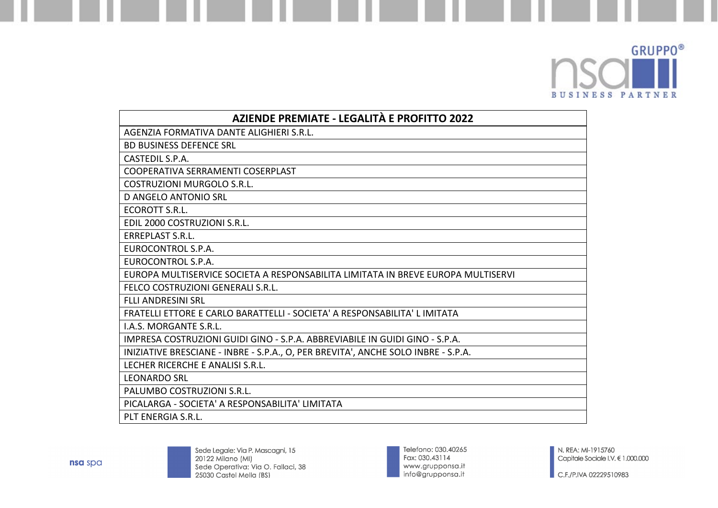

| <b>AZIENDE PREMIATE - LEGALITÀ E PROFITTO 2022</b>                                |
|-----------------------------------------------------------------------------------|
| AGENZIA FORMATIVA DANTE ALIGHIERI S.R.L.                                          |
| <b>BD BUSINESS DEFENCE SRL</b>                                                    |
| CASTEDIL S.P.A.                                                                   |
| COOPERATIVA SERRAMENTI COSERPLAST                                                 |
| COSTRUZIONI MURGOLO S.R.L.                                                        |
| <b>D ANGELO ANTONIO SRL</b>                                                       |
| ECOROTT S.R.L.                                                                    |
| EDIL 2000 COSTRUZIONI S.R.L.                                                      |
| <b>ERREPLAST S.R.L.</b>                                                           |
| <b>EUROCONTROL S.P.A.</b>                                                         |
| EUROCONTROL S.P.A.                                                                |
| EUROPA MULTISERVICE SOCIETA A RESPONSABILITA LIMITATA IN BREVE EUROPA MULTISERVI  |
| FELCO COSTRUZIONI GENERALI S.R.L.                                                 |
| <b>FLLI ANDRESINI SRL</b>                                                         |
| FRATELLI ETTORE E CARLO BARATTELLI - SOCIETA' A RESPONSABILITA' L IMITATA         |
| I.A.S. MORGANTE S.R.L.                                                            |
| IMPRESA COSTRUZIONI GUIDI GINO - S.P.A. ABBREVIABILE IN GUIDI GINO - S.P.A.       |
| INIZIATIVE BRESCIANE - INBRE - S.P.A., O, PER BREVITA', ANCHE SOLO INBRE - S.P.A. |
| LECHER RICERCHE E ANALISI S.R.L.                                                  |
| <b>LEONARDO SRL</b>                                                               |
| PALUMBO COSTRUZIONI S.R.L.                                                        |
| PICALARGA - SOCIETA' A RESPONSABILITA' LIMITATA                                   |
| PLT ENERGIA S.R.L.                                                                |



Telefono: 030.40265<br>Fax: 030.43114 www.grupponsa.it<br>info@grupponsa.it

 $\bigcup$  C.F./P.IVA 02229510983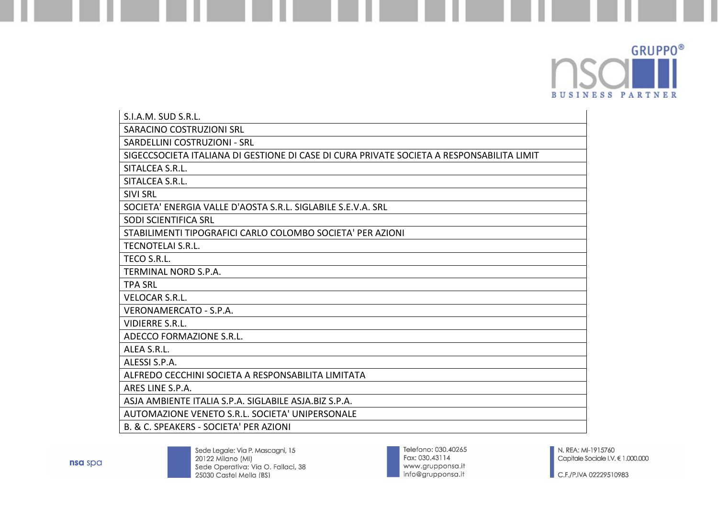

| S.I.A.M. SUD S.R.L.                                                                       |
|-------------------------------------------------------------------------------------------|
| SARACINO COSTRUZIONI SRL                                                                  |
| SARDELLINI COSTRUZIONI - SRL                                                              |
| SIGECCSOCIETA ITALIANA DI GESTIONE DI CASE DI CURA PRIVATE SOCIETA A RESPONSABILITA LIMIT |
| SITALCEA S.R.L.                                                                           |
| SITALCEA S.R.L.                                                                           |
| <b>SIVI SRL</b>                                                                           |
| SOCIETA' ENERGIA VALLE D'AOSTA S.R.L. SIGLABILE S.E.V.A. SRL                              |
| <b>SODI SCIENTIFICA SRL</b>                                                               |
| STABILIMENTI TIPOGRAFICI CARLO COLOMBO SOCIETA' PER AZIONI                                |
| <b>TECNOTELAI S.R.L.</b>                                                                  |
| TECO S.R.L.                                                                               |
| TERMINAL NORD S.P.A.                                                                      |
| <b>TPA SRL</b>                                                                            |
| <b>VELOCAR S.R.L.</b>                                                                     |
| VERONAMERCATO - S.P.A.                                                                    |
| <b>VIDIERRE S.R.L.</b>                                                                    |
| ADECCO FORMAZIONE S.R.L.                                                                  |
| ALEA S.R.L.                                                                               |
| ALESSI S.P.A.                                                                             |
| ALFREDO CECCHINI SOCIETA A RESPONSABILITA LIMITATA                                        |
| ARES LINE S.P.A.                                                                          |
| ASJA AMBIENTE ITALIA S.P.A. SIGLABILE ASJA.BIZ S.P.A.                                     |
| AUTOMAZIONE VENETO S.R.L. SOCIETA' UNIPERSONALE                                           |
| B. & C. SPEAKERS - SOCIETA' PER AZIONI                                                    |

Telefono: 030.40265<br>Fax: 030.43114 www.grupponsa.it<br>info@grupponsa.it

N. REA: MI-1915760 Capitale Sociale I.V. € 1.000.000

 $\bigcup$  C.F./P.IVA 02229510983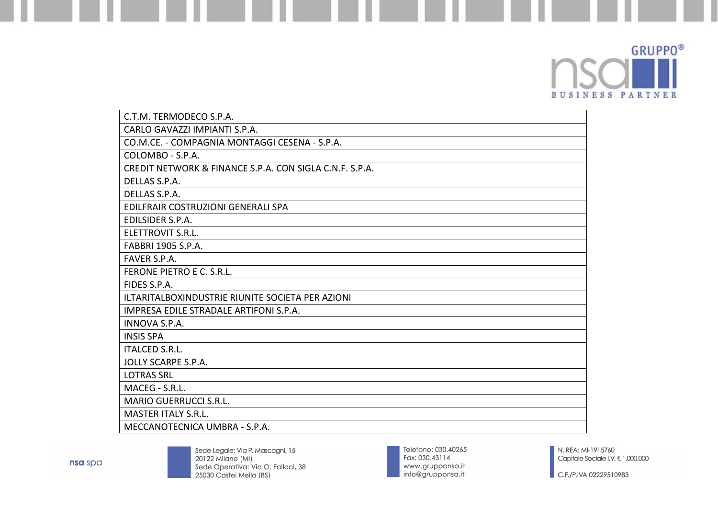

| C.T.M. TERMODECO S.P.A.                                 |
|---------------------------------------------------------|
| CARLO GAVAZZI IMPIANTI S.P.A.                           |
| CO.M.CE. - COMPAGNIA MONTAGGI CESENA - S.P.A.           |
| COLOMBO - S.P.A.                                        |
| CREDIT NETWORK & FINANCE S.P.A. CON SIGLA C.N.F. S.P.A. |
| DELLAS S.P.A.                                           |
| DELLAS S.P.A.                                           |
| EDILFRAIR COSTRUZIONI GENERALI SPA                      |
| EDILSIDER S.P.A.                                        |
| ELETTROVIT S.R.L.                                       |
| FABBRI 1905 S.P.A.                                      |
| FAVER S.P.A.                                            |
| FERONE PIETRO E C. S.R.L.                               |
| FIDES S.P.A.                                            |
| ILTARITALBOXINDUSTRIE RIUNITE SOCIETA PER AZIONI        |
| IMPRESA EDILE STRADALE ARTIFONI S.P.A.                  |
| <b>INNOVA S.P.A.</b>                                    |
| <b>INSIS SPA</b>                                        |
| <b>ITALCED S.R.L.</b>                                   |
| JOLLY SCARPE S.P.A.                                     |
| <b>LOTRAS SRL</b>                                       |
| MACEG - S.R.L.                                          |
| <b>MARIO GUERRUCCI S.R.L.</b>                           |
| <b>MASTER ITALY S.R.L.</b>                              |
| MECCANOTECNICA UMBRA - S.P.A.                           |

Telefono: 030.40265 Fax: 030.43114 www.grupponsa.it<br>info@grupponsa.it

N. REA: MI-1915760 Capitale Sociale I.V. € 1.000.000

 $\blacksquare$  C.F./P.IVA 02229510983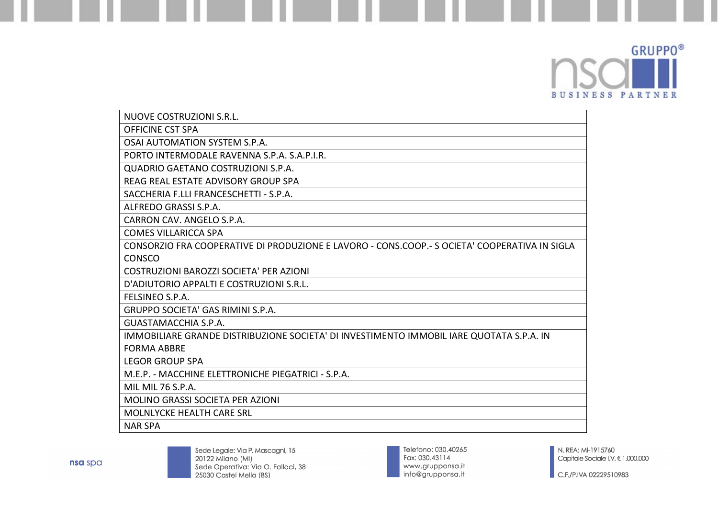

| NUOVE COSTRUZIONI S.R.L.                                                                      |
|-----------------------------------------------------------------------------------------------|
| <b>OFFICINE CST SPA</b>                                                                       |
| OSAI AUTOMATION SYSTEM S.P.A.                                                                 |
| PORTO INTERMODALE RAVENNA S.P.A. S.A.P.I.R.                                                   |
| QUADRIO GAETANO COSTRUZIONI S.P.A.                                                            |
| REAG REAL ESTATE ADVISORY GROUP SPA                                                           |
| SACCHERIA F.LLI FRANCESCHETTI - S.P.A.                                                        |
| ALFREDO GRASSI S.P.A.                                                                         |
| CARRON CAV. ANGELO S.P.A.                                                                     |
| <b>COMES VILLARICCA SPA</b>                                                                   |
| CONSORZIO FRA COOPERATIVE DI PRODUZIONE E LAVORO - CONS.COOP.- S OCIETA' COOPERATIVA IN SIGLA |
| <b>CONSCO</b>                                                                                 |
| COSTRUZIONI BAROZZI SOCIETA' PER AZIONI                                                       |
| D'ADIUTORIO APPALTI E COSTRUZIONI S.R.L.                                                      |
| FELSINEO S.P.A.                                                                               |
| <b>GRUPPO SOCIETA' GAS RIMINI S.P.A.</b>                                                      |
| <b>GUASTAMACCHIA S.P.A.</b>                                                                   |
| IMMOBILIARE GRANDE DISTRIBUZIONE SOCIETA' DI INVESTIMENTO IMMOBIL IARE QUOTATA S.P.A. IN      |
| <b>FORMA ABBRE</b>                                                                            |
| <b>LEGOR GROUP SPA</b>                                                                        |
| M.E.P. - MACCHINE ELETTRONICHE PIEGATRICI - S.P.A.                                            |
| MIL MIL 76 S.P.A.                                                                             |
| <b>MOLINO GRASSI SOCIETA PER AZIONI</b>                                                       |
| <b>MOLNLYCKE HEALTH CARE SRL</b>                                                              |
| <b>NAR SPA</b>                                                                                |

Telefono: 030.40265<br>Fax: 030.43114 www.grupponsa.it<br>info@grupponsa.it

N. REA: MI-1915760 Capitale Sociale I.V. € 1.000.000

 $\blacksquare$  C.F./P.IVA 02229510983